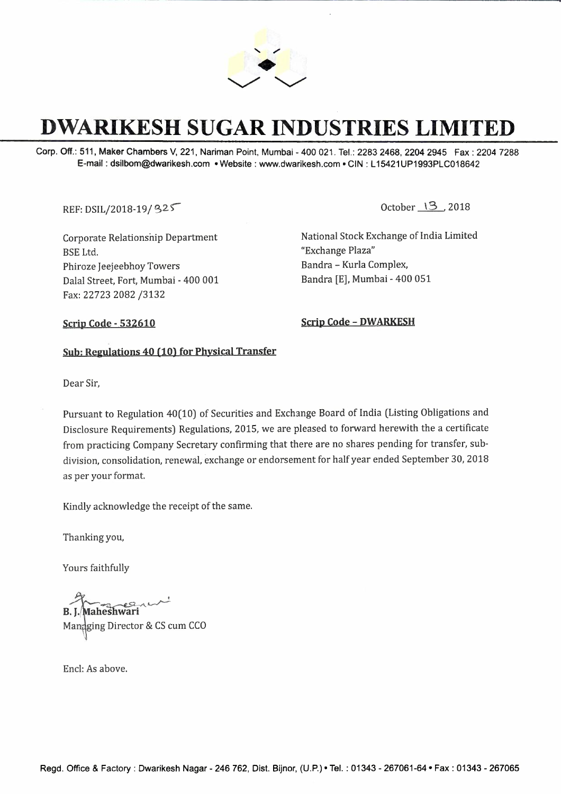

# **DWARIKESH SUGAR INDUSTRIES LIMITED**

Corp. Off.: 511, **Maker** Chambers V, 221, Nariman Point, Mumbai - 400 021. Tel.: 2283 2468, 2204 2945 Fax: 2204 7288 E-mail : dsilbom@dwarikesh.com • Website : www.dwarikesh.com • CIN : L 15421 UP1993PLC018642

REF: DSIL/2018-19/ 325

Corporate Relationsnip Department BSE Ltd. Phiroze Jeejeebhoy Towers Dalal Street, Fort, Mumbai - 400 001 Fax: 22723 2082 /3132

National Stock Exchange of India Limited "Exchange Plaza" Bandra - Kurla Complex, Bandra [E], Mumbai - 400 051

#### **Scrip Code - 532610** Scrip Code - **DWARKESH**

## **Sub: Regulations 40 (10) for Physical Transfer**

Dear Sir,

Pursuant to Regulation 40(10) of Securities and Exchange Board of India (Listing Obligations and Disclosure Requirements) Regulations, 2015, we are pleased to forward herewith the a certificate from practicing Company Secretary confirming that there are no shares pending for transfer, subdivision, consolidation, renewal, exchange or endorsement for half year ended September 30, 2018 as per your format.

Kindly acknowledge the receipt of the same.

Thanking you,

Yours faithfully

B. J. Maheshwari Managing Director & CS cum CCO

Encl: As above.